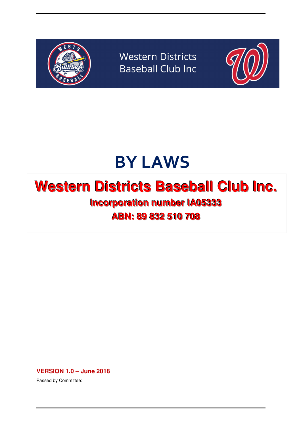

**Western Districts Baseball Club Inc** 



# BY LAWS

# **Western Districts Baseball Club Inc.**

**Incorporation number IA05333 ABN:: 89 832 510 708**

**VERSION 1.0 – June 2018** 

Passed by Committee: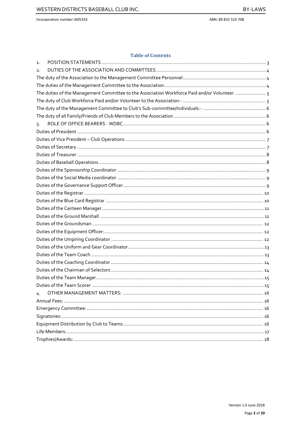ABN: 89 832 510 708

#### **Table of Contents**

| 1.                                                                                           |  |
|----------------------------------------------------------------------------------------------|--|
| $\overline{2}$ .                                                                             |  |
|                                                                                              |  |
|                                                                                              |  |
| The duties of the Management Committee to the Association Workforce Paid and/or Volunteer  5 |  |
|                                                                                              |  |
|                                                                                              |  |
|                                                                                              |  |
| $\overline{3}$ .                                                                             |  |
|                                                                                              |  |
|                                                                                              |  |
|                                                                                              |  |
|                                                                                              |  |
|                                                                                              |  |
|                                                                                              |  |
|                                                                                              |  |
|                                                                                              |  |
|                                                                                              |  |
|                                                                                              |  |
|                                                                                              |  |
|                                                                                              |  |
|                                                                                              |  |
|                                                                                              |  |
|                                                                                              |  |
|                                                                                              |  |
|                                                                                              |  |
|                                                                                              |  |
|                                                                                              |  |
|                                                                                              |  |
|                                                                                              |  |
| 4.                                                                                           |  |
|                                                                                              |  |
|                                                                                              |  |
|                                                                                              |  |
|                                                                                              |  |
|                                                                                              |  |
|                                                                                              |  |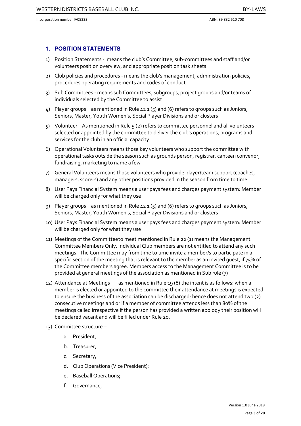#### **1. POSITION STATEMENTS**

- 1) Position Statements means the club's Committee, sub-committees and staff and/or volunteers position overview, and appropriate position task sheets
- 2) Club policies and procedures means the club's management, administration policies, procedures operating requirements and codes of conduct
- 3) Sub Committees means sub Committees, subgroups, project groups and/or teams of individuals selected by the Committee to assist
- 4) Player groups as mentioned in Rule 42 1 (5) and (6) refers to groups such as Juniors, Seniors, Master, Youth Women's, Social Player Divisions and or clusters
- 5) Volunteer As mentioned in Rule 5 (2) refers to committee personnel and all volunteers selected or appointed by the committee to deliver the club's operations, programs and services for the club in an official capacity
- 6) Operational Volunteers means those key volunteers who support the committee with operational tasks outside the season such as grounds person, registrar, canteen convenor, fundraising, marketing to name a few
- 7) General Volunteers means those volunteers who provide player/team support (coaches, managers, scorers) and any other positions provided in the season from time to time
- 8) User Pays Financial System means a user pays fees and charges payment system: Member will be charged only for what they use
- 9) Player groups as mentioned in Rule 42 1 (5) and (6) refers to groups such as Juniors, Seniors, Master, Youth Women's, Social Player Divisions and or clusters
- 10) User Pays Financial System means a user pays fees and charges payment system: Member will be charged only for what they use
- 11) Meetings of the Committee to meet mentioned in Rule 22 (1) means the Management Committee Members Only. Individual Club members are not entitled to attend any such meetings. The Committee may from time to time invite a member/s to participate in a specific section of the meeting that is relevant to the member as an invited quest, if 75% of the Committee members agree. Members access to the Management Committee is to be provided at general meetings of the association as mentioned in Sub rule (7)
- 12) Attendance at Meetings as mentioned in Rule 19 (8) the intent is as follows: when a member is elected or appointed to the committee their attendance at meetings is expected to ensure the business of the association can be discharged: hence does not attend two (2) consecutive meetings and or if a member of committee attends less than 80% of the meetings called irrespective if the person has provided a written apology their position will be declared vacant and will be filled under Rule 20.
- 13) Committee structure
	- a. President,
	- b. Treasurer,
	- c. Secretary,
	- d. Club Operations (Vice President);
	- e. Baseball Operations;
	- f. Governance,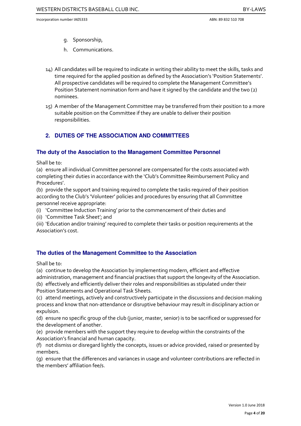- g. Sponsorship,
- h. Communications.
- 14) All candidates will be required to indicate in writing their ability to meet the skills, tasks and time required for the applied position as defined by the Association's 'Position Statements'. All prospective candidates will be required to complete the Management Committee's Position Statement nomination form and have it signed by the candidate and the two (2) nominees.
- 15) A member of the Management Committee may be transferred from their position to a more suitable position on the Committee if they are unable to deliver their position responsibilities.

# **2. DUTIES OF THE ASSOCIATION AND COMMITTEES**

#### **The duty of the Association to the Management Committee Personnel**

Shall be to:

(a) ensure all individual Committee personnel are compensated for the costs associated with completing their duties in accordance with the 'Club's Committee Reimbursement Policy and Procedures'.

(b) provide the support and training required to complete the tasks required of their position according to the Club's 'Volunteer' policies and procedures by ensuring that all Committee personnel receive appropriate:

- (i) 'Committee Induction Training' prior to the commencement of their duties and
- (ii) 'Committee Task Sheet'; and

(iii) 'Education and/or training' required to complete their tasks or position requirements at the Association's cost.

### **The duties of the Management Committee to the Association**

Shall be to:

(a) continue to develop the Association by implementing modern, efficient and effective administration, management and financial practises that support the longevity of the Association. (b) effectively and efficiently deliver their roles and responsibilities as stipulated under their

Position Statements and Operational Task Sheets.

(c) attend meetings, actively and constructively participate in the discussions and decision making process and know that non-attendance or disruptive behaviour may result in disciplinary action or expulsion.

(d) ensure no specific group of the club (junior, master, senior) is to be sacrificed or suppressed for the development of another.

(e) provide members with the support they require to develop within the constraints of the Association's financial and human capacity.

(f) not dismiss or disregard lightly the concepts, issues or advice provided, raised or presented by members.

(g) ensure that the differences and variances in usage and volunteer contributions are reflected in the members' affiliation fee/s.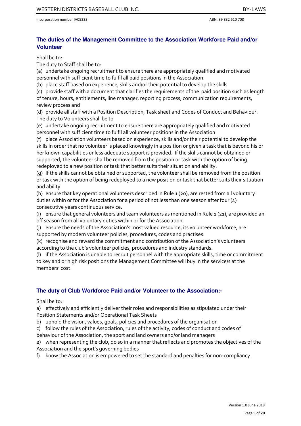# **The duties of the Management Committee to the Association Workforce Paid and/or Volunteer**

Shall be to:

The duty to Staff shall be to:

(a) undertake ongoing recruitment to ensure there are appropriately qualified and motivated personnel with sufficient time to fulfil all paid positions in the Association.

(b) place staff based on experience, skills and/or their potential to develop the skills

(c) provide staff with a document that clarifies the requirements of the paid position such as length of tenure, hours, entitlements, line manager, reporting process, communication requirements, review process and

(d) provide all staff with a Position Description, Task sheet and Codes of Conduct and Behaviour. The duty to Volunteers shall be to

(e) undertake ongoing recruitment to ensure there are appropriately qualified and motivated personnel with sufficient time to fulfil all volunteer positions in the Association

(f) place Association volunteers based on experience, skills and/or their potential to develop the skills in order that no volunteer is placed knowingly in a position or given a task that is beyond his or her known capabilities unless adequate support is provided. If the skills cannot be obtained or supported, the volunteer shall be removed from the position or task with the option of being redeployed to a new position or task that better suits their situation and ability.

(g) If the skills cannot be obtained or supported, the volunteer shall be removed from the position or task with the option of being redeployed to a new position or task that better suits their situation and ability

(h) ensure that key operational volunteers described in Rule 1 (20), are rested from all voluntary duties within or for the Association for a period of not less than one season after four (4) consecutive years continuous service.

(i) ensure that general volunteers and team volunteers as mentioned in Rule  $1$  (21), are provided an off season from all voluntary duties within or for the Association

(j) ensure the needs of the Association's most valued resource, its volunteer workforce, are supported by modern volunteer policies, procedures, codes and practises.

(k) recognise and reward the commitment and contribution of the Association's volunteers according to the club's volunteer policies, procedures and industry standards.

(l) if the Association is unable to recruit personnel with the appropriate skills, time or commitment to key and or high risk positions the Management Committee will buy in the service/s at the members' cost.

# **The duty of Club Workforce Paid and/or Volunteer to the Association:-**

Shall be to:

a) effectively and efficiently deliver their roles and responsibilities as stipulated under their Position Statements and/or Operational Task Sheets

b) uphold the vision, values, goals, policies and procedures of the organisation

c) follow the rules of the Association, rules of the activity, codes of conduct and codes of behaviour of the Association, the sport and land owners and/or land managers

e) when representing the club, do so in a manner that reflects and promotes the objectives of the Association and the sport's governing bodies

f) know the Association is empowered to set the standard and penalties for non-compliancy.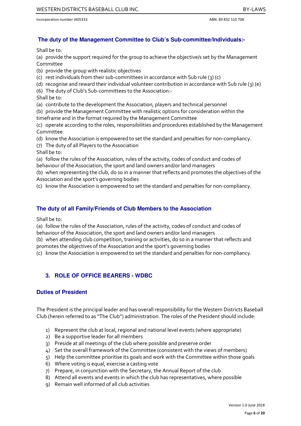# **The duty of the Management Committee to Club's Sub-committee/Individuals:-**

Shall be to:

(a) provide the support required for the group to achieve the objective/s set by the Management Committee

- (b) provide the group with realistic objectives
- (c) rest individuals from their sub-committees in accordance with Sub rule (3) (c)
- (d) recognise and reward their individual volunteer contribution in accordance with Sub rule (3) (e)
- (6) The duty of Club's Sub-committees to the Association:-
- Shall be to:
- (a) contribute to the development the Association, players and technical personnel
- (b) provide the Management Committee with realistic options for consideration within the timeframe and in the format required by the Management Committee
- (c) operate according to the roles, responsibilities and procedures established by the Management Committee
- (d) know the Association is empowered to set the standard and penalties for non-compliancy.
- (7) The duty of all Players to the Association
- Shall be to:
- (a) follow the rules of the Association, rules of the activity, codes of conduct and codes of behaviour of the Association, the sport and land owners and/or land managers
- (b) when representing the club, do so in a manner that reflects and promotes the objectives of the Association and the sport's governing bodies
- (c) know the Association is empowered to set the standard and penalties for non-compliancy.

# **The duty of all Family/Friends of Club Members to the Association**

Shall be to:

(a) follow the rules of the Association, rules of the activity, codes of conduct and codes of behaviour of the Association, the sport and land owners and/or land managers

(b) when attending club competition, training or activities, do so in a manner that reflects and

- promotes the objectives of the Association and the sport's governing bodies
- (c) know the Association is empowered to set the standard and penalties for non-compliancy.

# **3. ROLE OF OFFICE BEARERS - WDBC**

### **Duties of President**

The President is the principal leader and has overall responsibility for the Western Districts Baseball Club (herein referred to as "The Club") administration. The roles of the President should include:

- 1) Represent the club at local, regional and national level events (where appropriate)
- 2) Be a supportive leader for all members
- 3) Preside at all meetings of the club where possible and preserve order
- 4) Set the overall framework of the Committee (consistent with the views of members)
- 5) Help the committee prioritise its goals and work with the Committee within those goals
- 6) Where voting is equal, exercise a casting vote
- 7) Prepare, in conjunction with the Secretary, the Annual Report of the club
- 8) Attend all events and events in which the club has representatives, where possible
- 9) Remain well informed of all club activities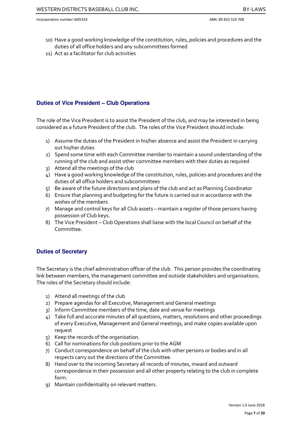- 10) Have a good working knowledge of the constitution, rules, policies and procedures and the duties of all office holders and any subcommittees formed
- 11) Act as a facilitator for club activities

# **Duties of Vice President – Club Operations**

The role of the Vice President is to assist the President of the club, and may be interested in being considered as a future President of the club. The roles of the Vice President should include:

- 1) Assume the duties of the President in his/her absence and assist the President in carrying out his/her duties
- 2) Spend some time with each Committee member to maintain a sound understanding of the running of the club and assist other committee members with their duties as required
- 3) Attend all the meetings of the club
- 4) Have a good working knowledge of the constitution, rules, policies and procedures and the duties of all office holders and subcommittees
- 5) Be aware of the future directions and plans of the club and act as Planning Coordinator
- 6) Ensure that planning and budgeting for the future is carried out in accordance with the wishes of the members
- 7) Manage and control keys for all Club assets maintain a register of those persons having possession of Club keys.
- 8) The Vice President Club Operations shall liaise with the local Council on behalf of the Committee.

# **Duties of Secretary**

The Secretary is the chief administration officer of the club. This person provides the coordinating link between members, the management committee and outside stakeholders and organisations. The roles of the Secretary should include:

- 1) Attend all meetings of the club
- 2) Prepare agendas for all Executive, Management and General meetings
- 3) Inform Committee members of the time, date and venue for meetings
- 4) Take full and accurate minutes of all questions, matters, resolutions and other proceedings of every Executive, Management and General meetings, and make copies available upon request
- 5) Keep the records of the organisation.
- 6) Call for nominations for club positions prior to the AGM
- 7) Conduct correspondence on behalf of the club with other persons or bodies and in all respects carry out the directions of the Committee.
- 8) Hand over to the incoming Secretary all records of minutes, inward and outward correspondence in their possession and all other property relating to the club in complete form.
- 9) Maintain confidentiality on relevant matters.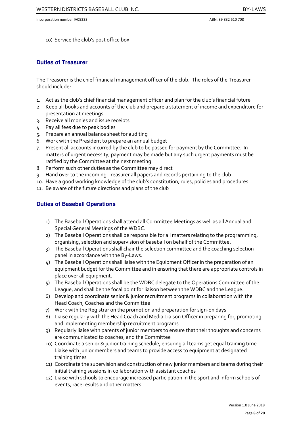10) Service the club's post office box

### **Duties of Treasurer**

The Treasurer is the chief financial management officer of the club. The roles of the Treasurer should include:

- 1. Act as the club's chief financial management officer and plan for the club's financial future
- 2. Keep all books and accounts of the club and prepare a statement of income and expenditure for presentation at meetings
- 3. Receive all monies and issue receipts
- 4. Pay all fees due to peak bodies
- 5. Prepare an annual balance sheet for auditing
- 6. Work with the President to prepare an annual budget
- 7. Present all accounts incurred by the club to be passed for payment by the Committee. In matters of urgent necessity, payment may be made but any such urgent payments must be ratified by the Committee at the next meeting
- 8. Perform such other duties as the Committee may direct
- 9. Hand over to the incoming Treasurer all papers and records pertaining to the club
- 10. Have a good working knowledge of the club's constitution, rules, policies and procedures
- 11. Be aware of the future directions and plans of the club

# **Duties of Baseball Operations**

- 1) The Baseball Operations shall attend all Committee Meetings as well as all Annual and Special General Meetings of the WDBC.
- 2) The Baseball Operations shall be responsible for all matters relating to the programming, organising, selection and supervision of baseball on behalf of the Committee.
- 3) The Baseball Operations shall chair the selection committee and the coaching selection panel in accordance with the By-Laws.
- 4) The Baseball Operations shall liaise with the Equipment Officer in the preparation of an equipment budget for the Committee and in ensuring that there are appropriate controls in place over all equipment.
- 5) The Baseball Operations shall be the WDBC delegate to the Operations Committee of the League, and shall be the focal point for liaison between the WDBC and the League.
- 6) Develop and coordinate senior & junior recruitment programs in collaboration with the Head Coach, Coaches and the Committee
- 7) Work with the Registrar on the promotion and preparation for sign-on days
- 8) Liaise regularly with the Head Coach and Media Liaison Officer in preparing for, promoting and implementing membership recruitment programs
- 9) Regularly liaise with parents of junior members to ensure that their thoughts and concerns are communicated to coaches, and the Committee
- 10) Coordinate a senior & junior training schedule, ensuring all teams get equal training time. Liaise with junior members and teams to provide access to equipment at designated training times
- 11) Coordinate the supervision and construction of new junior members and teams during their initial training sessions in collaboration with assistant coaches
- 12) Liaise with schools to encourage increased participation in the sport and inform schools of events, race results and other matters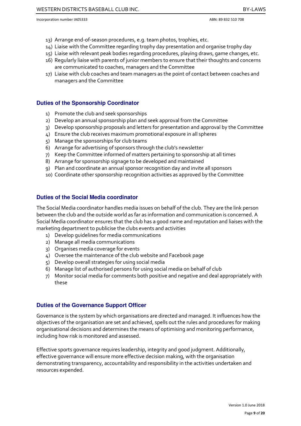- 13) Arrange end-of-season procedures, e.g. team photos, trophies, etc.
- 14) Liaise with the Committee regarding trophy day presentation and organise trophy day
- 15) Liaise with relevant peak bodies regarding procedures, playing draws, game changes, etc.
- 16) Regularly liaise with parents of junior members to ensure that their thoughts and concerns are communicated to coaches, managers and the Committee
- 17) Liaise with club coaches and team managers as the point of contact between coaches and managers and the Committee

#### **Duties of the Sponsorship Coordinator**

- 1) Promote the club and seek sponsorships
- 2) Develop an annual sponsorship plan and seek approval from the Committee
- 3) Develop sponsorship proposals and letters for presentation and approval by the Committee
- 4) Ensure the club receives maximum promotional exposure in all spheres
- 5) Manage the sponsorships for club teams
- 6) Arrange for advertising of sponsors through the club's newsletter
- 7) Keep the Committee informed of matters pertaining to sponsorship at all times
- 8) Arrange for sponsorship signage to be developed and maintained
- 9) Plan and coordinate an annual sponsor recognition day and invite all sponsors
- 10) Coordinate other sponsorship recognition activities as approved by the Committee

### **Duties of the Social Media coordinator**

The Social Media coordinator handles media issues on behalf of the club. They are the link person between the club and the outside world as far as information and communication is concerned. A Social Media coordinator ensures that the club has a good name and reputation and liaises with the marketing department to publicise the clubs events and activities

- 1) Develop guidelines for media communications
- 2) Manage all media communications
- 3) Organises media coverage for events
- 4) Oversee the maintenance of the club website and Facebook page
- 5) Develop overall strategies for using social media
- 6) Manage list of authorised persons for using social media on behalf of club
- 7) Monitor social media for comments both positive and negative and deal appropriately with these

#### **Duties of the Governance Support Officer**

Governance is the system by which organisations are directed and managed. It influences how the objectives of the organisation are set and achieved, spells out the rules and procedures for making organisational decisions and determines the means of optimising and monitoring performance, including how risk is monitored and assessed.

Effective sports governance requires leadership, integrity and good judgment. Additionally, effective governance will ensure more effective decision making, with the organisation demonstrating transparency, accountability and responsibility in the activities undertaken and resources expended.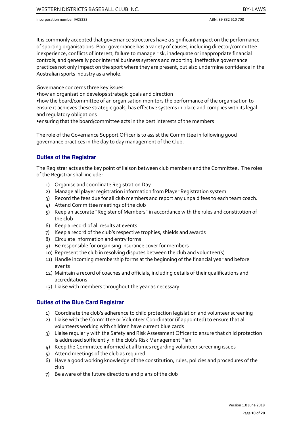It is commonly accepted that governance structures have a significant impact on the performance of sporting organisations. Poor governance has a variety of causes, including director/committee inexperience, conflicts of interest, failure to manage risk, inadequate or inappropriate financial controls, and generally poor internal business systems and reporting. Ineffective governance practices not only impact on the sport where they are present, but also undermine confidence in the Australian sports industry as a whole.

Governance concerns three key issues:

•how an organisation develops strategic goals and direction

•how the board/committee of an organisation monitors the performance of the organisation to ensure it achieves these strategic goals, has effective systems in place and complies with its legal and regulatory obligations

•ensuring that the board/committee acts in the best interests of the members

The role of the Governance Support Officer is to assist the Committee in following good governance practices in the day to day management of the Club.

# **Duties of the Registrar**

The Registrar acts as the key point of liaison between club members and the Committee. The roles of the Registrar shall include:

- 1) Organise and coordinate Registration Day.
- 2) Manage all player registration information from Player Registration system
- 3) Record the fees due for all club members and report any unpaid fees to each team coach.
- 4) Attend Committee meetings of the club
- 5) Keep an accurate "Register of Members" in accordance with the rules and constitution of the club
- 6) Keep a record of all results at events
- 7) Keep a record of the club's respective trophies, shields and awards
- 8) Circulate information and entry forms
- 9) Be responsible for organising insurance cover for members
- 10) Represent the club in resolving disputes between the club and volunteer(s)
- 11) Handle incoming membership forms at the beginning of the financial year and before events
- 12) Maintain a record of coaches and officials, including details of their qualifications and accreditations
- 13) Liaise with members throughout the year as necessary

### **Duties of the Blue Card Registrar**

- 1) Coordinate the club's adherence to child protection legislation and volunteer screening
- 2) Liaise with the Committee or Volunteer Coordinator (if appointed) to ensure that all volunteers working with children have current blue cards
- 3) Liaise regularly with the Safety and Risk Assessment Officer to ensure that child protection is addressed sufficiently in the club's Risk Management Plan
- 4) Keep the Committee informed at all times regarding volunteer screening issues
- 5) Attend meetings of the club as required
- 6) Have a good working knowledge of the constitution, rules, policies and procedures of the club
- 7) Be aware of the future directions and plans of the club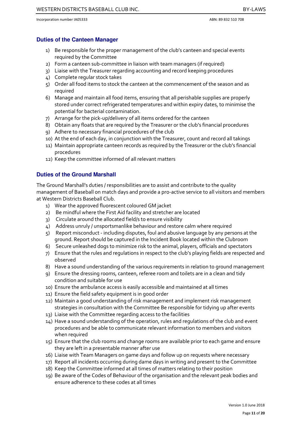#### **Duties of the Canteen Manager**

- 1) Be responsible for the proper management of the club's canteen and special events required by the Committee
- 2) Form a canteen sub-committee in liaison with team managers (if required)
- 3) Liaise with the Treasurer regarding accounting and record keeping procedures
- 4) Complete regular stock takes
- 5) Order all food items to stock the canteen at the commencement of the season and as required
- 6) Manage and maintain all food items, ensuring that all perishable supplies are properly stored under correct refrigerated temperatures and within expiry dates, to minimise the potential for bacterial contamination.
- 7) Arrange for the pick-up/delivery of all items ordered for the canteen
- 8) Obtain any floats that are required by the Treasurer or the club's financial procedures
- 9) Adhere to necessary financial procedures of the club
- 10) At the end of each day, in conjunction with the Treasurer, count and record all takings
- 11) Maintain appropriate canteen records as required by the Treasurer or the club's financial procedures
- 12) Keep the committee informed of all relevant matters

# **Duties of the Ground Marshall**

The Ground Marshall's duties / responsibilities are to assist and contribute to the quality management of Baseball on match days and provide a pro-active service to all visitors and members at Western Districts Baseball Club.

- 1) Wear the approved fluorescent coloured GM jacket
- 2) Be mindful where the First Aid facility and stretcher are located
- 3) Circulate around the allocated field/s to ensure visibility
- 4) Address unruly / unsportsmanlike behaviour and restore calm where required
- 5) Report misconduct including disputes, foul and abusive language by any persons at the ground. Report should be captured in the Incident Book located within the Clubroom
- 6) Secure unleashed dogs to minimize risk to the animal, players, officials and spectators
- 7) Ensure that the rules and regulations in respect to the club's playing fields are respected and observed
- 8) Have a sound understanding of the various requirements in relation to ground management
- 9) Ensure the dressing rooms, canteen, referee room and toilets are in a clean and tidy condition and suitable for use
- 10) Ensure the ambulance access is easily accessible and maintained at all times
- 11) Ensure the field safety equipment is in good order
- 12) Maintain a good understanding of risk management and implement risk management strategies in consultation with the Committee Be responsible for tidying up after events
- 13) Liaise with the Committee regarding access to the facilities
- 14) Have a sound understanding of the operation, rules and regulations of the club and event procedures and be able to communicate relevant information to members and visitors when required
- 15) Ensure that the club rooms and change rooms are available prior to each game and ensure they are left in a presentable manner after use
- 16) Liaise with Team Managers on game days and follow up on requests where necessary
- 17) Report all incidents occurring during dame days in writing and present to the Committee
- 18) Keep the Committee informed at all times of matters relating to their position
- 19) Be aware of the Codes of Behaviour of the organisation and the relevant peak bodies and ensure adherence to these codes at all times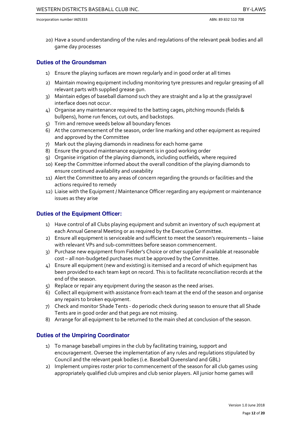20) Have a sound understanding of the rules and regulations of the relevant peak bodies and all game day processes

#### **Duties of the Groundsman**

- 1) Ensure the playing surfaces are mown regularly and in good order at all times
- 2) Maintain mowing equipment including monitoring tyre pressures and regular greasing of all relevant parts with supplied grease gun.
- 3) Maintain edges of baseball diamond such they are straight and a lip at the grass/gravel interface does not occur.
- 4) Organise any maintenance required to the batting cages, pitching mounds (fields & bullpens), home run fences, cut outs, and backstops.
- 5) Trim and remove weeds below all boundary fences
- 6) At the commencement of the season, order line marking and other equipment as required and approved by the Committee
- 7) Mark out the playing diamonds in readiness for each home game
- 8) Ensure the ground maintenance equipment is in good working order
- 9) Organise irrigation of the playing diamonds, including outfields, where required
- 10) Keep the Committee informed about the overall condition of the playing diamonds to ensure continued availability and useability
- 11) Alert the Committee to any areas of concern regarding the grounds or facilities and the actions required to remedy
- 12) Liaise with the Equipment / Maintenance Officer regarding any equipment or maintenance issues as they arise

#### **Duties of the Equipment Officer:**

- 1) Have control of all Clubs playing equipment and submit an inventory of such equipment at each Annual General Meeting or as required by the Executive Committee.
- 2) Ensure all equipment is serviceable and sufficient to meet the season's requirements liaise with relevant VPs and sub-committees before season commencement.
- 3) Purchase new equipment from Fielder's Choice or other supplier if available at reasonable cost – all non-budgeted purchases must be approved by the Committee.
- 4) Ensure all equipment (new and existing) is itemised and a record of which equipment has been provided to each team kept on record. This is to facilitate reconciliation records at the end of the season.
- 5) Replace or repair any equipment during the season as the need arises.
- 6) Collect all equipment with assistance from each team at the end of the season and organise any repairs to broken equipment.
- 7) Check and monitor Shade Tents do periodic check during season to ensure that all Shade Tents are in good order and that pegs are not missing.
- 8) Arrange for all equipment to be returned to the main shed at conclusion of the season.

### **Duties of the Umpiring Coordinator**

- 1) To manage baseball umpires in the club by facilitating training, support and encouragement. Oversee the implementation of any rules and regulations stipulated by Council and the relevant peak bodies (i.e. Baseball Queensland and GBL)
- 2) Implement umpires roster prior to commencement of the season for all club games using appropriately qualified club umpires and club senior players. All junior home games will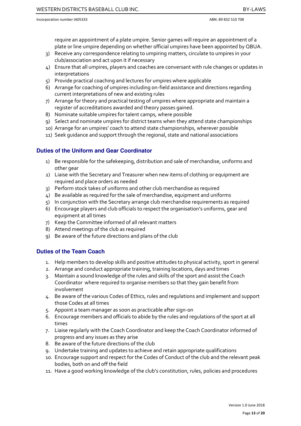require an appointment of a plate umpire. Senior games will require an appointment of a plate or line umpire depending on whether official umpires have been appointed by QBUA.

- 3) Receive any correspondence relating to umpiring matters, circulate to umpires in your club/association and act upon it if necessary
- 4) Ensure that all umpires, players and coaches are conversant with rule changes or updates in interpretations
- 5) Provide practical coaching and lectures for umpires where applicable
- 6) Arrange for coaching of umpires including on-field assistance and directions regarding current interpretations of new and existing rules
- 7) Arrange for theory and practical testing of umpires where appropriate and maintain a register of accreditations awarded and theory passes gained.
- 8) Nominate suitable umpires for talent camps, where possible
- 9) Select and nominate umpires for district teams when they attend state championships
- 10) Arrange for an umpires' coach to attend state championships, wherever possible
- 11) Seek guidance and support through the regional, state and national associations

### **Duties of the Uniform and Gear Coordinator**

- 1) Be responsible for the safekeeping, distribution and sale of merchandise, uniforms and other gear
- 2) Liaise with the Secretary and Treasurer when new items of clothing or equipment are required and place orders as needed
- 3) Perform stock takes of uniforms and other club merchandise as required
- 4) Be available as required for the sale of merchandise, equipment and uniforms
- 5) In conjunction with the Secretary arrange club merchandise requirements as required
- 6) Encourage players and club officials to respect the organisation's uniforms, gear and equipment at all times
- 7) Keep the Committee informed of all relevant matters
- 8) Attend meetings of the club as required
- 9) Be aware of the future directions and plans of the club

### **Duties of the Team Coach**

- 1. Help members to develop skills and positive attitudes to physical activity, sport in general
- 2. Arrange and conduct appropriate training, training locations, days and times
- 3. Maintain a sound knowledge of the rules and skills of the sport and assist the Coach Coordinator where required to organise members so that they gain benefit from involvement
- 4. Be aware of the various Codes of Ethics, rules and regulations and implement and support those Codes at all times
- 5. Appoint a team manager as soon as practicable after sign-on
- 6. Encourage members and officials to abide by the rules and regulations of the sport at all times
- 7. Liaise regularly with the Coach Coordinator and keep the Coach Coordinator informed of progress and any issues as they arise
- 8. Be aware of the future directions of the club
- 9. Undertake training and updates to achieve and retain appropriate qualifications
- 10. Encourage support and respect for the Codes of Conduct of the club and the relevant peak bodies, both on and off the field
- 11. Have a good working knowledge of the club's constitution, rules, policies and procedures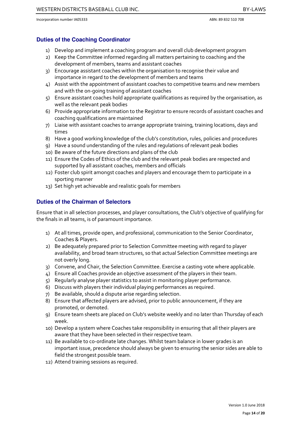### **Duties of the Coaching Coordinator**

- 1) Develop and implement a coaching program and overall club development program
- 2) Keep the Committee informed regarding all matters pertaining to coaching and the development of members, teams and assistant coaches
- 3) Encourage assistant coaches within the organisation to recognise their value and importance in regard to the development of members and teams
- 4) Assist with the appointment of assistant coaches to competitive teams and new members and with the on-going training of assistant coaches
- 5) Ensure assistant coaches hold appropriate qualifications as required by the organisation, as well as the relevant peak bodies
- 6) Provide appropriate information to the Registrar to ensure records of assistant coaches and coaching qualifications are maintained
- 7) Liaise with assistant coaches to arrange appropriate training, training locations, days and times
- 8) Have a good working knowledge of the club's constitution, rules, policies and procedures
- 9) Have a sound understanding of the rules and regulations of relevant peak bodies
- 10) Be aware of the future directions and plans of the club
- 11) Ensure the Codes of Ethics of the club and the relevant peak bodies are respected and supported by all assistant coaches, members and officials
- 12) Foster club spirit amongst coaches and players and encourage them to participate in a sporting manner
- 13) Set high yet achievable and realistic goals for members

### **Duties of the Chairman of Selectors**

Ensure that in all selection processes, and player consultations, the Club's objective of qualifying for the finals in all teams, is of paramount importance.

- 1) At all times, provide open, and professional, communication to the Senior Coordinator, Coaches & Players.
- 2) Be adequately prepared prior to Selection Committee meeting with regard to player availability, and broad team structures, so that actual Selection Committee meetings are not overly long.
- 3) Convene, and Chair, the Selection Committee. Exercise a casting vote where applicable.
- 4) Ensure all Coaches provide an objective assessment of the players in their team.
- 5) Regularly analyse player statistics to assist in monitoring player performance.
- 6) Discuss with players their individual playing performances as required.
- 7) Be available, should a dispute arise regarding selection.
- 8) Ensure that affected players are advised, prior to public announcement, if they are promoted, or demoted.
- 9) Ensure team sheets are placed on Club's website weekly and no later than Thursday of each week.
- 10) Develop a system where Coaches take responsibility in ensuring that all their players are aware that they have been selected in their respective team.
- 11) Be available to co-ordinate late changes. Whilst team balance in lower grades is an important issue, precedence should always be given to ensuring the senior sides are able to field the strongest possible team.
- 12) Attend training sessions as required.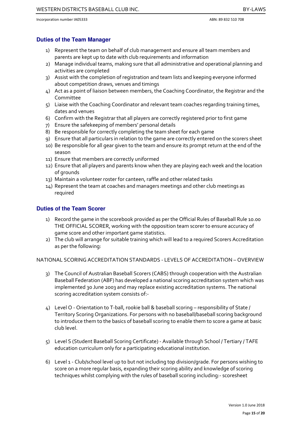### **Duties of the Team Manager**

- 1) Represent the team on behalf of club management and ensure all team members and parents are kept up to date with club requirements and information
- 2) Manage individual teams, making sure that all administrative and operational planning and activities are completed
- 3) Assist with the completion of registration and team lists and keeping everyone informed about competition draws, venues and timings
- 4) Act as a point of liaison between members, the Coaching Coordinator, the Registrar and the Committee
- 5) Liaise with the Coaching Coordinator and relevant team coaches regarding training times, dates and venues
- 6) Confirm with the Registrar that all players are correctly registered prior to first game
- 7) Ensure the safekeeping of members' personal details
- 8) Be responsible for correctly completing the team sheet for each game
- 9) Ensure that all particulars in relation to the game are correctly entered on the scorers sheet
- 10) Be responsible for all gear given to the team and ensure its prompt return at the end of the season
- 11) Ensure that members are correctly uniformed
- 12) Ensure that all players and parents know when they are playing each week and the location of grounds
- 13) Maintain a volunteer roster for canteen, raffle and other related tasks
- 14) Represent the team at coaches and managers meetings and other club meetings as required

# **Duties of the Team Scorer**

- 1) Record the game in the scorebook provided as per the Official Rules of Baseball Rule 10.00 THE OFFICIAL SCORER, working with the opposition team scorer to ensure accuracy of game score and other important game statistics.
- 2) The club will arrange for suitable training which will lead to a required Scorers Accreditation as per the following:

NATIONAL SCORING ACCREDITATION STANDARDS - LEVELS OF ACCREDITATION – OVERVIEW

- 3) The Council of Australian Baseball Scorers (CABS) through cooperation with the Australian Baseball Federation (ABF) has developed a national scoring accreditation system which was implemented 30 June 2003 and may replace existing accreditation systems. The national scoring accreditation system consists of:-
- 4) Level O Orientation to T-ball, rookie ball & baseball scoring responsibility of State / Territory Scoring Organizations. For persons with no baseball/baseball scoring background to introduce them to the basics of baseball scoring to enable them to score a game at basic club level.
- 5) Level S (Student Baseball Scoring Certificate) Available through School / Tertiary / TAFE education curriculum only for a participating educational institution.
- 6) Level 1 Club/school level up to but not including top division/grade. For persons wishing to score on a more regular basis, expanding their scoring ability and knowledge of scoring techniques whilst complying with the rules of baseball scoring including:- scoresheet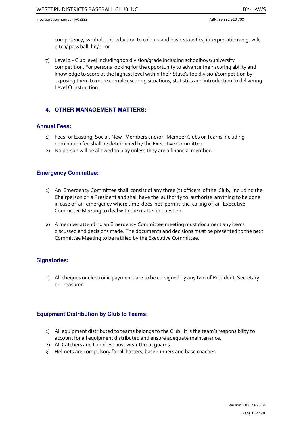competency, symbols, introduction to colours and basic statistics, interpretations e.g. wild pitch/ pass ball, hit/error.

7) Level 2 - Club level including top division/grade including schoolboys/university competition. For persons looking for the opportunity to advance their scoring ability and knowledge to score at the highest level within their State's top division/competition by exposing them to more complex scoring situations, statistics and introduction to delivering Level O instruction.

# **4. OTHER MANAGEMENT MATTERS:**

### **Annual Fees:**

- 1) Fees for Existing, Social, New Members and/or Member Clubs or Teams including nomination fee shall be determined by the Executive Committee.
- 2) No person will be allowed to play unless they are a financial member.

# **Emergency Committee:**

- 1) An Emergency Committee shall consist of any three (3) officers of the Club, including the Chairperson or a President and shall have the authority to authorise anything to be done in case of an emergency where time does not permit the calling of an Executive Committee Meeting to deal with the matter in question.
- 2) A member attending an Emergency Committee meeting must document any items discussed and decisions made. The documents and decisions must be presented to the next Committee Meeting to be ratified by the Executive Committee.

### **Signatories:**

1) All cheques or electronic payments are to be co-signed by any two of President, Secretary or Treasurer.

# **Equipment Distribution by Club to Teams:**

- 1) All equipment distributed to teams belongs to the Club. It is the team's responsibility to account for all equipment distributed and ensure adequate maintenance.
- 2) All Catchers and Umpires must wear throat guards.
- 3) Helmets are compulsory for all batters, base runners and base coaches.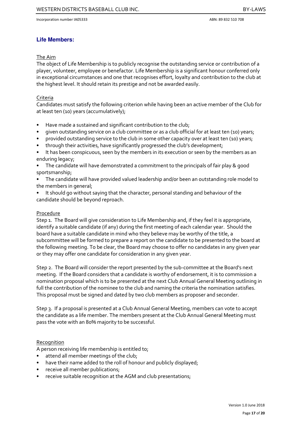# **Life Members:**

#### The Aim

The object of Life Membership is to publicly recognise the outstanding service or contribution of a player, volunteer, employee or benefactor. Life Membership is a significant honour conferred only in exceptional circumstances and one that recognises effort, loyalty and contribution to the club at the highest level. It should retain its prestige and not be awarded easily.

#### Criteria

Candidates must satisfy the following criterion while having been an active member of the Club for at least ten (10) years (accumulatively);

- Have made a sustained and significant contribution to the club;
- given outstanding service on a club committee or as a club official for at least ten (10) years;
- provided outstanding service to the club in some other capacity over at least ten (10) years;
- through their activities, have significantly progressed the club's development;
- It has been conspicuous, seen by the members in its execution or seen by the members as an enduring legacy;
- The candidate will have demonstrated a commitment to the principals of fair play & good sportsmanship;
- The candidate will have provided valued leadership and/or been an outstanding role model to the members in general;
- It should go without saying that the character, personal standing and behaviour of the candidate should be beyond reproach.

#### Procedure

Step 1. The Board will give consideration to Life Membership and, if they feel it is appropriate, identify a suitable candidate (if any) during the first meeting of each calendar year. Should the board have a suitable candidate in mind who they believe may be worthy of the title, a subcommittee will be formed to prepare a report on the candidate to be presented to the board at the following meeting. To be clear, the Board may choose to offer no candidates in any given year or they may offer one candidate for consideration in any given year.

Step 2. The Board will consider the report presented by the sub-committee at the Board's next meeting. If the Board considers that a candidate is worthy of endorsement, it is to commission a nomination proposal which is to be presented at the next Club Annual General Meeting outlining in full the contribution of the nominee to the club and naming the criteria the nomination satisfies. This proposal must be signed and dated by two club members as proposer and seconder.

Step 3. If a proposal is presented at a Club Annual General Meeting, members can vote to accept the candidate as a life member. The members present at the Club Annual General Meeting must pass the vote with an 80% majority to be successful.

### Recognition

A person receiving life membership is entitled to;

- attend all member meetings of the club;
- have their name added to the roll of honour and publicly displayed;
- receive all member publications;
- receive suitable recognition at the AGM and club presentations;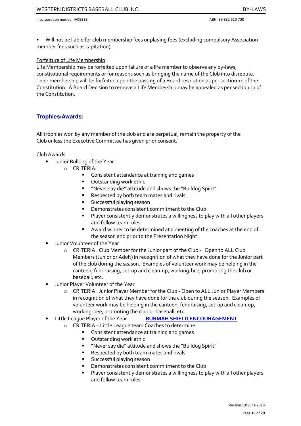• Will not be liable for club membership fees or playing fees (excluding compulsory Association member fees such as capitation).

### Forfeiture of Life Membership

Life Membership may be forfeited upon failure of a life member to observe any by-laws, constitutional requirements or for reasons such as bringing the name of the Club into disrepute. Their membership will be forfeited upon the passing of a Board resolution as per section 10 of the Constitution. A Board Decision to remove a Life Membership may be appealed as per section 11 of the Constitution.

# **Trophies/Awards:**

All trophies won by any member of the club and are perpetual, remain the property of the Club unless the Executive Committee has given prior consent.

#### Club Awards

- Junior Bulldog of the Year
	- o CRITERIA:
		- **Consistent attendance at training and games**
		- **•** Outstanding work ethic
		- "Never say die" attitude and shows the "Bulldog Spirit"
		- Respected by both team mates and rivals
		- **Successful playing season**
		- Demonstrates consistent commitment to the Club
		- Player consistently demonstrates a willingness to play with all other players and follow team rules
		- Award winner to be determined at a meeting of the coaches at the end of the season and prior to the Presentation Night.
- Junior Volunteer of the Year
	- o CRITERIA : Club Member for the Junior part of the Club Open to ALL Club Members (Junior or Adult) in recognition of what they have done for the Junior part of the club during the season. Examples of volunteer work may be helping in the canteen, fundraising, set-up and clean-up, working-bee, promoting the club or baseball, etc.
- Junior Player Volunteer of the Year
	- o CRITERIA : Junior Player Member for the Club Open to ALL Junior Player Members in recognition of what they have done for the club during the season. Examples of volunteer work may be helping in the canteen, fundraising, set-up and clean-up, working-bee, promoting the club or baseball, etc.
- Little League Player of the Year **BURMAH SHIELD ENCOURAGEMENT** 
	- o CRITERIA Little League team Coaches to determine
		- Consistent attendance at training and games
		- **•** Outstanding work ethic
		- "Never say die" attitude and shows the "Bulldog Spirit"
		- Respected by both team mates and rivals
		- Successful playing season
		- Demonstrates consistent commitment to the Club
		- Player consistently demonstrates a willingness to play with all other players and follow team rules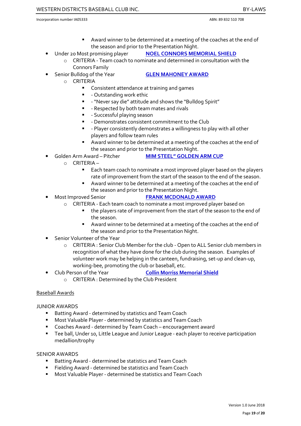- Award winner to be determined at a meeting of the coaches at the end of the season and prior to the Presentation Night.
- Under 20 Most promising player NOEL CONNORS MEMORIAL SHIELD
	- o CRITERIA Team coach to nominate and determined in consultation with the Connors Family
- Senior Bulldog of the Year GLEN MAHONEY AWARD
	-
- o CRITERIA
	- Consistent attendance at training and games
	- **-** Outstanding work ethic
	- "Never say die" attitude and shows the "Bulldog Spirit"
	- Respected by both team mates and rivals
	- **-** Successful playing season
	- Demonstrates consistent commitment to the Club
	- Player consistently demonstrates a willingness to play with all other players and follow team rules
	- Award winner to be determined at a meeting of the coaches at the end of the season and prior to the Presentation Night.
- Golden Arm Award Pitcher MIM STEEL" GOLDEN ARM CUP
	- o CRITERIA
		- Each team coach to nominate a most improved player based on the players rate of improvement from the start of the season to the end of the season.
		- Award winner to be determined at a meeting of the coaches at the end of the season and prior to the Presentation Night.
- Most Improved Senior FRANK MCDONALD AWARD
	-
	- o CRITERIA Each team coach to nominate a most improved player based on
		- the players rate of improvement from the start of the season to the end of the season.
		- Award winner to be determined at a meeting of the coaches at the end of the season and prior to the Presentation Night.
- Senior Volunteer of the Year
	- o CRITERIA : Senior Club Member for the club Open to ALL Senior club members in recognition of what they have done for the club during the season. Examples of volunteer work may be helping in the canteen, fundraising, set-up and clean-up, working-bee, promoting the club or baseball, etc.
- Club Person of the Year Collin Morriss Memorial Shield
	- o CRITERIA : Determined by the Club President

### Baseball Awards

### JUNIOR AWARDS

- Batting Award determined by statistics and Team Coach
- **Most Valuable Player determined by statistics and Team Coach**
- Coaches Award determined by Team Coach encouragement award
- Tee ball, Under 10, Little League and Junior League each player to receive participation medallion/trophy

### SENIOR AWARDS

- **Batting Award determined be statistics and Team Coach**
- Fielding Award determined be statistics and Team Coach
- Most Valuable Player determined be statistics and Team Coach